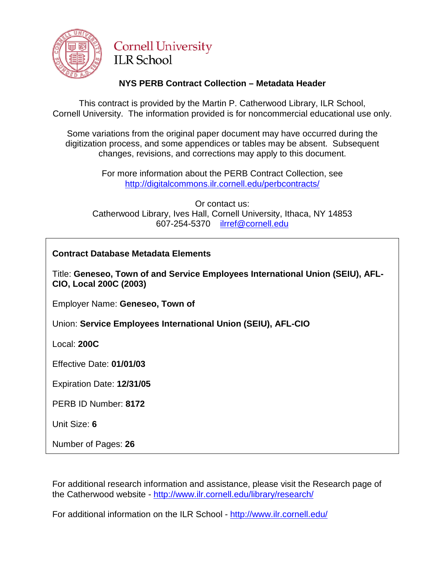

# **Cornell University ILR School**

# **NYS PERB Contract Collection – Metadata Header**

This contract is provided by the Martin P. Catherwood Library, ILR School, Cornell University. The information provided is for noncommercial educational use only.

Some variations from the original paper document may have occurred during the digitization process, and some appendices or tables may be absent. Subsequent changes, revisions, and corrections may apply to this document.

> For more information about the PERB Contract Collection, see http://digitalcommons.ilr.cornell.edu/perbcontracts/

Or contact us: Catherwood Library, Ives Hall, Cornell University, Ithaca, NY 14853 607-254-5370 [ilrref@cornell.edu](mailto:ilrref@cornell.edu)

# **Contract Database Metadata Elements**

Title: **Geneseo, Town of and Service Employees International Union (SEIU), AFL-CIO, Local 200C (2003)**

Employer Name: **Geneseo, Town of**

Union: **Service Employees International Union (SEIU), AFL-CIO**

Local: **200C**

Effective Date: **01/01/03**

Expiration Date: **12/31/05**

PERB ID Number: **8172**

Unit Size: **6**

Number of Pages: **26**

For additional research information and assistance, please visit the Research page of the Catherwood website - <http://www.ilr.cornell.edu/library/research/>

For additional information on the ILR School - <http://www.ilr.cornell.edu/>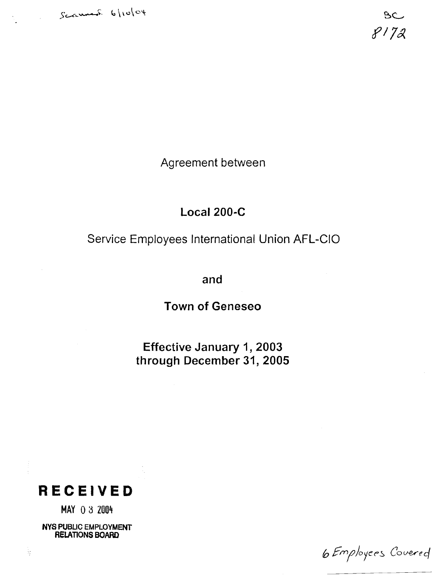

 $BC$  $8172$ 

Agreement between

# **Local 200-C**

Service Employees International Union AFL-CIO

**and** 

**Town of Geneseo** 

**Effective January 1,2003 through December 31,2005** 



**MAY** 0 3 2004

**NYS PUBLIC EMPLOYMENT RELATlONS BOARD** 

6 Employers Covered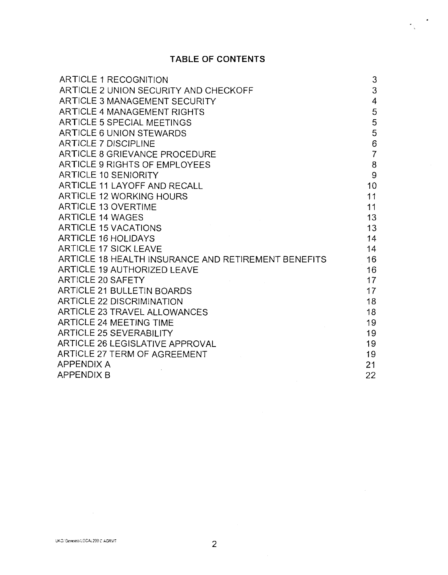# **TABLE OF CONTENTS**

 $\frac{1}{\sqrt{2}}$  ,  $\frac{1}{\sqrt{2}}$ 

| ARTICLE 1 RECOGNITION                               | 3              |
|-----------------------------------------------------|----------------|
| ARTICLE 2 UNION SECURITY AND CHECKOFF               | 3              |
| ARTICLE 3 MANAGEMENT SECURITY                       | 4              |
| ARTICLE 4 MANAGEMENT RIGHTS                         | 5              |
| ARTICLE 5 SPECIAL MEETINGS                          | 5              |
| ARTICLE 6 UNION STEWARDS                            | 5              |
| <b>ARTICLE 7 DISCIPLINE</b>                         | 6              |
| ARTICLE 8 GRIEVANCE PROCEDURE                       | $\overline{7}$ |
| ARTICLE 9 RIGHTS OF EMPLOYEES                       | 8              |
| <b>ARTICLE 10 SENIORITY</b>                         | 9              |
| ARTICLE 11 LAYOFF AND RECALL                        | 10             |
| ARTICLE 12 WORKING HOURS                            | 11             |
| <b>ARTICLE 13 OVERTIME</b>                          | 11             |
| <b>ARTICLE 14 WAGES</b>                             | 13             |
| <b>ARTICLE 15 VACATIONS</b>                         | 13             |
| <b>ARTICLE 16 HOLIDAYS</b>                          | 14             |
| <b>ARTICLE 17 SICK LEAVE</b>                        | 14             |
| ARTICLE 18 HEALTH INSURANCE AND RETIREMENT BENEFITS | 16             |
| ARTICLE 19 AUTHORIZED LEAVE                         | 16             |
| ARTICLE 20 SAFETY                                   | 17             |
| <b>ARTICLE 21 BULLETIN BOARDS</b>                   | 17             |
| <b>ARTICLE 22 DISCRIMINATION</b>                    | 18             |
| ARTICLE 23 TRAVEL ALLOWANCES                        | 18             |
| <b>ARTICLE 24 MEETING TIME</b>                      | 19             |
| <b>ARTICLE 25 SEVERABILITY</b>                      | 19             |
| ARTICLE 26 LEGISLATIVE APPROVAL                     | 19             |
| ARTICLE 27 TERM OF AGREEMENT                        | 19             |
| <b>APPENDIX A</b>                                   | 21             |
| <b>APPENDIX B</b>                                   | 22             |

 $\sim 10^7$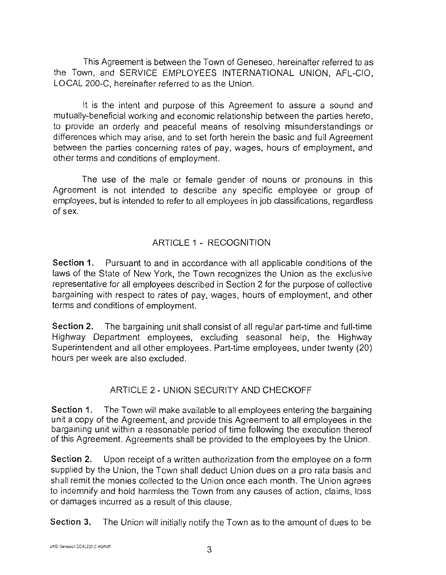This Agreement is between the Town of Geneseo, hereinafter referred to as the Town, and SERVICE EMPLOYEES INTERNATIONAL UNION, AFL-CIO, LOCAL 200-C, hereinafter referred to as the Union.

It is the intent and purpose of this Agreement to assure a sound and mutually-beneficial working and economic relationship between the parties hereto, to provide an orderly and peaceful means of resolving misunderstandings or differences which may arise, and to set forth herein the basic and full Agreement between the parties concerning rates of pay, wages, hours of employment, and other terms and conditions of employment.

The use of the male or female gender of nouns or pronouns in this Agreement is not intended to describe any specific employee or group of employees, but is intended to refer to all employees in job classifications, regardless of sex.

#### ARTICLE 1 - RECOGNITION

**Section 1.** Pursuant to and in accordance with all applicable conditions of the laws of the State of New York, the Town recognizes the Union as the exclusive representative for all employees described in Section 2 for the purpose of collective bargaining with respect to rates of pay, wages, hours of employment, and other terms and conditions of employment.

**Section 2.** The bargaining unit shall consist of all regular part-time and full-time Highway Department employees, excluding seasonal help, the Highway Superintendent and all other employees. Part-time employees, under twenty (20) hours per week are also excluded.

## ARTICLE 2 - UNION SECURITY AND CHECKOFF

**Section 1.** The Town will make available to all employees entering the bargaining unit a copy of the Agreement, and provide this Agreement to all employees in the bargaining unit within a reasonable period of time following the execution thereof of this Agreement. Agreements shall be provided to the employees by the Union.

**Section 2.** Upon receipt of a written authorization from the employee on a form supplied by the Union, the Town shall deduct Union dues on a pro rata basis and shall remit the monies collected to the Union once each month. The Union agrees to indemnify and hold harmless the Town from any causes of action, claims, loss or damages incurred as a result of this clause,

Section 3. The Union will initially notify the Town as to the amount of dues to be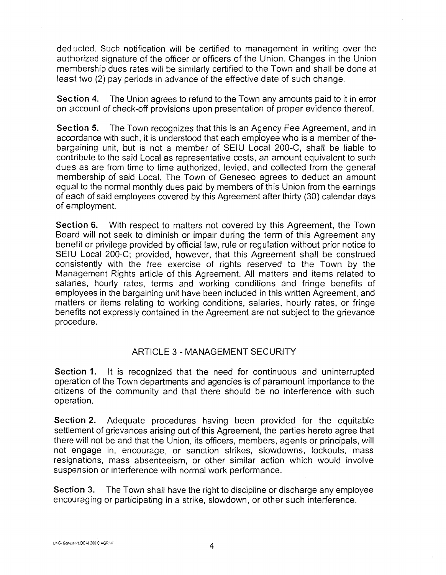deducted. Such notification will be certified to management in writing over the authorized signature of the officer or officers of the Union. Changes in the Union membership dues rates will be similarly certified to the Town and shall be done at least two (2) pay periods in advance of the effective date of such change.

Section **4.** The Union agrees to refund to the Town any amounts paid to it in error on account of check-off provisions upon presentation of proper evidence thereof.

Section **5.** The Town recognizes that this is an Agency Fee Agreement, and in accordance with such, it is understood that each employee who is a member of thebargaining unit, but is not a member of SElU Local 200-C, shall be liable to contribute to the said Local as representative costs, an amount equivalent to such dues as are from time to time authorized, levied, and collected from the general membership of said Local. The Town of Geneseo agrees to deduct an amount equal to the normal monthly dues paid by members of this Union from the earnings of each of said employees covered by this Agreement after thirty (30) calendar days of employment.

Section **6.** With respect to matters not covered by this Agreement, the Town Board will not seek to diminish or impair during the term of this Agreement any benefit or privilege provided by official law, rule or regulation without prior notice to SElU Local 200-C; provided, however, that this Agreement shall be construed consistently with the free exercise of rights reserved to the Town by the Management Rights article of this Agreement. All matters and items related to salaries, hourly rates, terms and working conditions and fringe benefits of employees in the bargaining unit have been included in this written Agreement, and matters or items relating to working conditions, salaries, hourly rates, or fringe benefits not expressly contained in the Agreement are not subject to the grievance procedure.

#### ARTICLE 3 - MANAGEMENT SECURITY

Section **1.** It is recognized that the need for continuous and uninterrupted operation of the Town departments and agencies is of paramount importance to the citizens of the community and that there should be no interference with such operation.

Section 2. Adequate procedures having been provided for the equitable settlement of grievances arising out of this Agreement, the parties hereto agree that there will not be and that the Union, its officers, members, agents or principals, will not engage in, encourage, or sanction strikes, slowdowns, lockouts, mass resignations, mass absenteeism, or other similar action which would involve suspension or interference with normal work performance.

Section 3. The Town shall have the right to discipline or discharge any employee encouraging or participating in a strike, slowdown, or other such interference.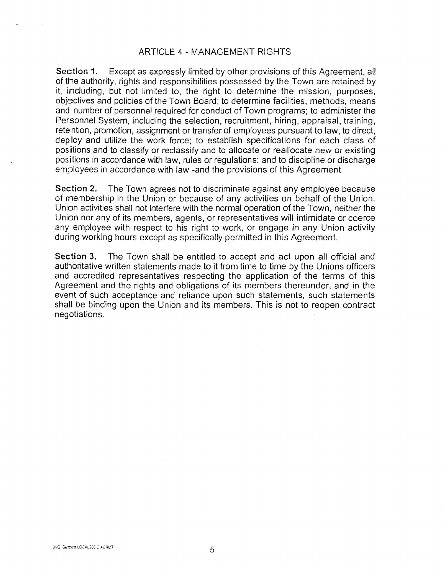#### ARTICLE 4 - MANAGEMENT RIGHTS

Section 1. Except as expressly limited by other provisions of this Agreement, all of the authority, rights and responsibilities possessed by the Town are retained by it, including, but not limited to, the right to determine the mission, purposes, objectives and policies of the Town Board; to determine facilities, methods, means and number of personnel required for conduct of Town programs; to administer the Personnel System, including the selection, recruitment, hiring, appraisal, training, retention, promotion, assignment or transfer of employees pursuant to law, to direct, deploy and utilize the work force; to establish specifications for each class of positions and to classify or reclassify and to allocate or reallocate new or existing positions in accordance with law, rules or regulations: and to discipline or discharge employees in accordance with law -and the provisions of this Agreement

Section 2. The Town agrees not to discriminate against any employee because of membership in the Union or because of any activities on behalf of the Union. Union activities shall not interfere with the normal operation of the Town, neither the Union nor any of its members, agents, or representatives will intimidate or coerce any employee with respect to his right to work, or engage in any Union activity during working hours except as specifically permitted in this Agreement.

Section 3. The Town shall be entitled to accept and act upon all official and authoritative written statements made to it from time to time by the Unions officers and accredited representatives respecting the application of the terms of this Agreement and the rights and obligations of its members thereunder, and in the event of such acceptance and reliance upon such statements, such statements shall be binding upon the Union and its members. This is not to reopen contract negotiations.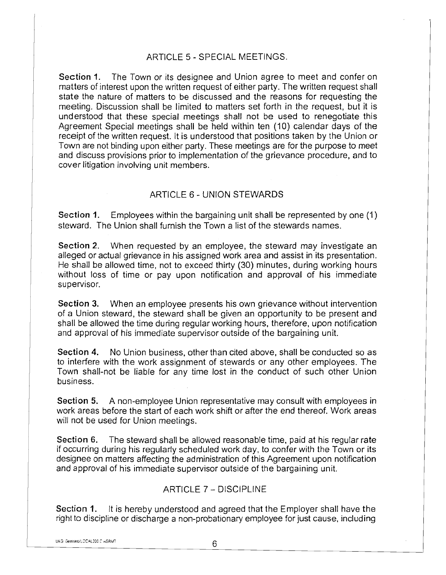#### ARTICLE 5 - SPECIAL MEETINGS.

Section 1. The Town or its designee and Union agree to meet and confer on matters of interest upon the written request of either party. The written request shall state the nature of matters to be discussed and the reasons for requesting the meeting. Discussion shall be limited to matters set forth in the request, but it is understood that these special meetings shall not be used to renegotiate this Agreement Special meetings shall be held within ten (10) calendar days of the receipt of the written request. It is understood that positions taken by the Union or Town are not binding upon either party. These meetings are for the purpose to meet and discuss provisions prior to implementation of the grievance procedure, and to cover litigation involving unit members.

#### ARTICLE 6 - UNION STEWARDS

Section 1. Employees within the bargaining unit shall be represented by one (1) steward. The Union shall furnish the Town a list of the stewards names.

Section **2.** When requested by an employee, the steward may investigate an alleged or actual grievance in his assigned work area and assist in its presentation. He shall be allowed time, not to exceed thirty (30) minutes, during working hours without loss of time or pay upon notification and approval of his immediate supervisor.

Section 3. When an employee presents his own grievance without intervention of a Union steward, the steward shall be given an opportunity to be present and shall be allowed the time during regular working hours, therefore, upon notification and approval of his immediate supervisor outside of the bargaining unit.

Section **4.** No Union business, other than cited above, shall be conducted so as to interfere with the work assignment of stewards or any other employees. The Town shall-not be liable for any time lost in the conduct of such other Union business.

Section 5. A non-employee Union representative may consult with employees in work areas before the start of each work shift or after the end thereof. Work areas will not be used for Union meetings.

Section 6. The steward shall be allowed reasonable time, paid at his regular rate if occurring during his regularly scheduled work day, to confer with the Town or its designee on matters affecting the administration of this Agreement upon notification and approval of his immediate supervisor outside of the bargaining unit.

#### ARTICLE 7 - DISCIPLINE

Section 1. It is hereby understood and agreed that the Employer shall have the right to discipline or discharge a non-probationary employee for just cause, including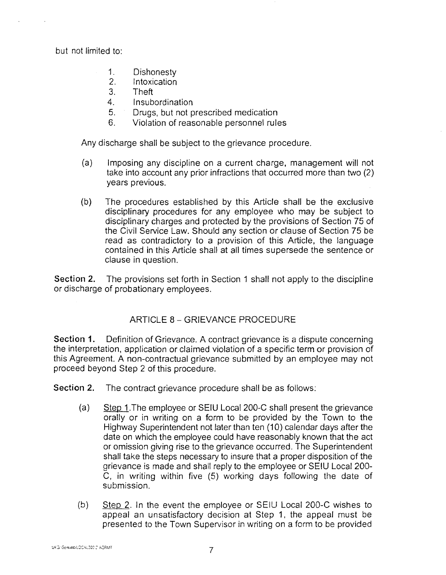but not limited to:

- 1. Dishonesty<br>2 Intoxication
- 2. Intoxication<br>3. Theft
- 3. Theft
- 4. Insubordination
- 5. Drugs, but not prescribed medication
- 6. Violation of reasonable personnel rules

Any discharge shall be subject to the grievance procedure.

- (a) Imposing any discipline on a current charge, management will not take into account any prior infractions that occurred more than two (2) years previous.
- (b) The procedures established by this Article shall be the exclusive disciplinary procedures for any employee who may be subject to disciplinary charges and protected by the provisions of Section 75 of the Civil Service Law. Should any section or clause of Section 75 be read as contradictory to a provision of this Article, the language contained in this Article shall at all times supersede the sentence or clause in question.

Section 2. The provisions set forth in Section 1 shall not apply to the discipline or discharge of probationary employees.

#### ARTICLE 8 - GRIEVANCE PROCEDURE

Section 1. Definition of Grievance. A contract grievance is a dispute concerning the interpretation, application or claimed violation of a specific term or provision of this Agreement. A non-contractual grievance submitted by an employee may not proceed beyond Step 2 of this procedure.

Section 2. The contract grievance procedure shall be as follows:

- ) Step 1 .The employee or SElU Local 200-C shall present the grievance orally or in writing on a form to be provided by the Town to the Highway Superintendent not later than ten (10) calendar days after the date on which the employee could have reasonably known that the act or omission giving rise to the grievance occurred. The Superintendent shall take the steps necessary to insure that a proper disposition of the grievance is made and shall reply to the employee or SElU Local 200- C, in writing within five (5) working days following the date of submission.
- $(b)$  Step 2. In the event the employee or SEIU Local 200-C wishes to appeal an unsatisfactory decision at Step 1, the appeal must be presented to the Town Supervisor in writing on a form to be provided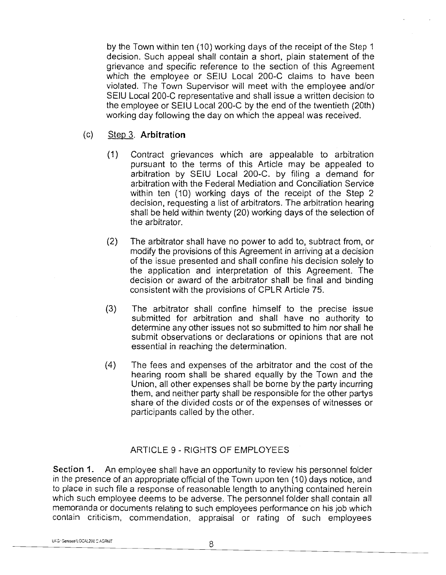by the Town within ten (10) working days of the receipt of the Step 1 decision. Such appeal shall contain a short, plain statement of the grievance and specific reference to the section of this Agreement which the employee or SElU Local 200-C claims to have been violated. The Town Supervisor will meet with the employee and/or SEIU Local 200-C representative and shall issue a written decision to the employee or SElU Local 200-C by the end of the twentieth (20th) working day following the day on which the appeal was received.

#### Step 3. **Arbitration**   $(c)$

- $(1)$ Contract grievances which are appealable to arbitration pursuant to the terms of this Article may be appealed to arbitration by SElU Local 200-C. by filing a demand for arbitration with the Federal Mediation and Conciliation Service within ten (10) working days of the receipt of the Step 2 decision, requesting a list of arbitrators. The arbitration hearing shall be held within twenty (20) working days of the selection of the arbitrator.
- $(2)$ The arbitrator shall have no power to add to, subtract from, or modify the provisions of this Agreement in arriving at a decision of the issue presented and shall confine his decision solely to the application and interpretation of this Agreement. The decision or award of the arbitrator shall be final and binding consistent with the provisions of CPLR Article 75.
- $(3)$ The arbitrator shall confine himself to the precise issue submitted for arbitration and shall have no authority to determine any other issues not so submitted to him nor shall he submit observations or declarations or opinions that are not essential in reaching the determination.
- $(4)$ The fees and expenses of the arbitrator and the cost of the hearing room shall be shared equally by the Town and the Union, all other expenses shall be borne by the party incurring them, and neither party shall be responsible for the other partys share of the divided costs or of the expenses of witnesses or participants called by the other.

## ARTICLE 9 - RIGHTS OF EMPLOYEES

Section **1.** An employee shall have an opportunity to review his personnel folder in the presence of an appropriate official of the Town upon ten (10) days notice, and to place in such file a response of reasonable length to anything contained herein which such employee deems to be adverse. The personnel folder shall contain all memoranda or documents relating to such employees performance on his job which contain criticism, commendation, appraisal or rating of such employees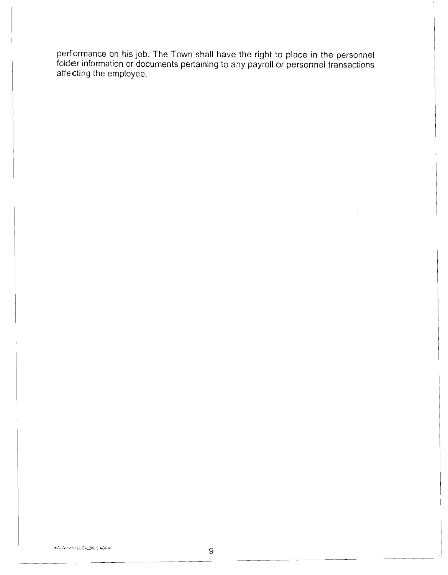performance on his job. The Town shall have the right to place in the personnel folder information or documents pertaining to any payroll or personnel transactions affecting the employee.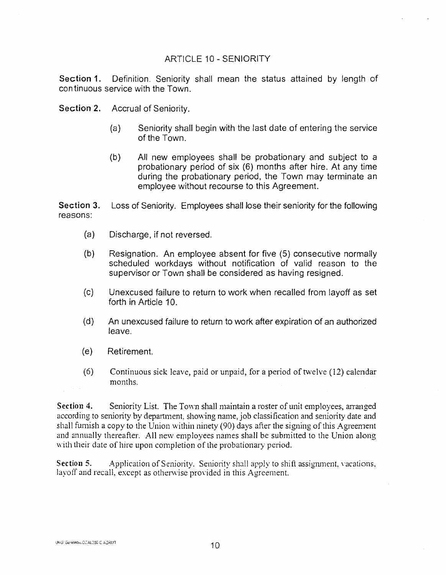#### ARTICLE 10 - SENIORITY

**Section 1.** Definition. Seniority shall mean the status attained by length of continuous service with the Town.

**Section 2.**  Accrual of Seniority.

- (a) Seniority shall begin with the last date of entering the service of the Town.
- (b) All new employees shall be probationary and subject to a probationary period of six (6) months after hire. At any time during the probationary period, the Town may terminate an employee without recourse to this Agreement.

**Section 3.**  reasons: Loss of Seniority. Employees shall lose their seniority for the following

- $(a)$ Discharge, if not reversed.
- $(b)$ Resignation. An employee absent for five (5) consecutive normally scheduled workdays without notification of valid reason to the supervisor or Town shall be considered as having resigned.
- $(c)$ Unexcused failure to return to work when recalled from layoff as set forth in Article 10.
- $(d)$ An unexcused failure to return to work after expiration of an authorized leave.
- $(e)$ Retirement.
- $(6)$ Continuous sick leave, paid or unpaid, for a period of twelve (12) calendar months.

Section 4. Seniority List. The Town shall maintain a roster of unit employees, arranged according to seniority by department, showing name, job classification and seniority date and shall furnish a copy to the Union within ninety (90) days after the signing of this Agreement and annually thereafter. All new employees names shall be submitted to he Union along with their date of hire upon completion of the probationary period.

**Section 5.** Application of Seniority. Seniority shall apply to shift assignment, vacations, layoff and recall, except as otherwise provided in this Agreement.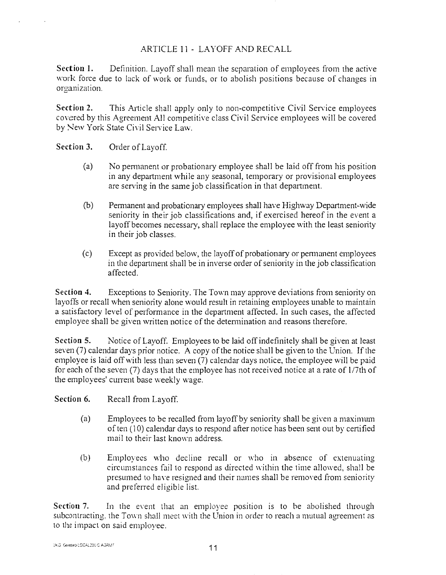#### ARTICLE 11 - LAYOFF AND RECALL

**Section 1.** Definition. Layoff shall mean the separation of employees fiom the active work force due to lack of work or funds, or to abolish positions because of changes in organization.

Section 2. This Article shall apply only to non-competitive Civil Service employees covered by this Agreement All competitive class Civil Service employees will be covered by New York State Civil Service Law.

#### **Section 3.**  Order of Layoff.

- (a) No permanent or probationary employee shall be laid off from his position in any department while any seasonal, temporary or provisional employees are serving in the same job classification in that department.
- (b) Pemanent and probationary employees shall have Highway Department-wide seniority in their job classifications and, if exercised hereof in the event a layoff becomes necessary, shall replace the ennployee with the least seniority in their job classes.
- (c) Except as provided below, the layoff of probationary or permanent employees in the department shall be in inverse order of seniority in the job classification affected.

**Section 3.**  Exceptions to Seniority. The Town may approve deviations from seniority on layoffs or recall when seniority alone would result in retaining employees unable to maintain a satisfactory level of performance in the department affected. In such cases, the affected employee shall be given written notice of the determination and reasons therefore.

**Section 5.** Notice of Layoff. Employees to be laid off indefinitely shall be given at least seven  $(7)$  calendar days prior notice. A copy of the notice shall be given to the Union. If the employee is laid off with less than seven (7) calendar days notice, the employee will be paid for each of the seven (7) days that the employee has not received notice at a rate of 1/7th of the employees' current base weekly wage.

**Section 6.** Recall from Layoff.

- (a) Employees to be recalled from layoff by seniority shall be given a maximum of ten (10) calendar days to respond after notice has been sent out by certified mail to their last known address.
- (b) Employees who decline recall or who in absence of extenuating circumstances fail to respond as directed within the time allowed, shall be presumed to have resigned and their names shall be removed from seniority. and preferred eligible list.

**Section 7.** In the event that an employee position is to be abolished through subcontracting, the Town shall meet with the Union in order to reach a mutual agreement as to the impact on said employee.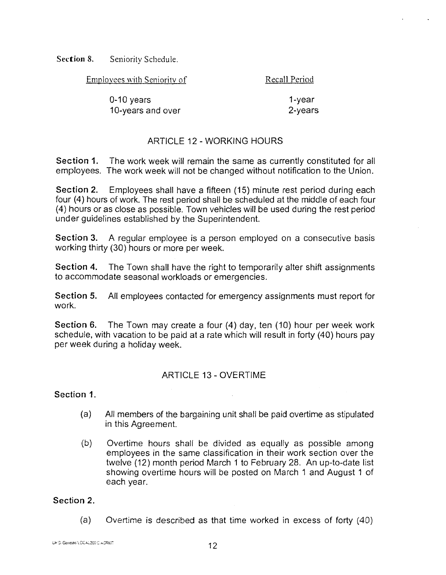Section 8. Seniority Schedule.

Emplovees with Seniority of Recall Period

 $1 - vear$ 0-10 years 10-years and over 2-vears

## ARTICLE 12 - WORKING HOURS

Section **1.** The work week will remain the same as currently constituted for all employees. The work week will not be changed without notification to the Union.

Section 2. Employees shall have a fifteen (15) minute rest period during each four (4) hours of work. The rest period shall be scheduled at the middle of each four (4) hours or as close as possible. Town vehicles will be used during the rest period under guidelines established by the Superintendent.

Section **3.** A regular employee is a person employed on a consecutive basis working thirty (30) hours or more per week.

Section 4. The Town shall have the right to temporarily alter shift assignments to accommodate seasonal workloads or emergencies.

Section 5. All employees contacted for emergency assignments must report for work.

Section 6. The Town may create a four (4) day, ten (10) hour per week work schedule, with vacation to be paid at a rate which will result in forty (40) hours pay per week during a holiday week.

## ARTICLE 13 - OVERTIME

#### Section **1.**

- (a) All members of the bargaining unit shall be paid overtime as stipulated in this Agreement.
- (b) Overtime hours shall be divided as equally as possible among employees in the same classification in their work section over the twelve (12) month period March 1 to February 28. An up-to-date list showing overtime hours will be posted on March 1 and August 1 of each year.

#### Section 2.

(a) Overtime is described as that time worked in excess of forty (40)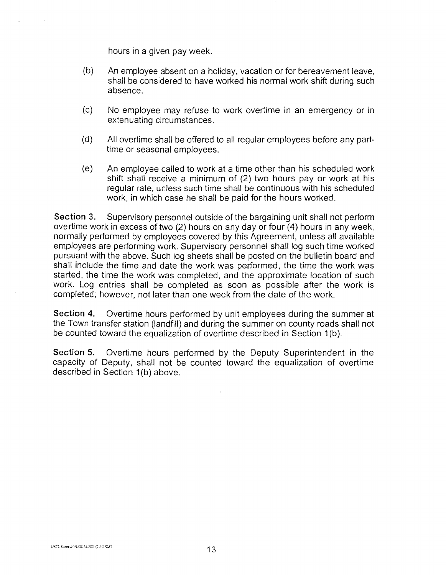hours in a given pay week.

- $(b)$ An employee absent on a holiday, vacation or for bereavement leave, shall be considered to have worked his normal work shift during such absence.
- $(c)$ No employee may refuse to work overtime in an emergency or in extenuating circumstances.
- $(d)$ All overtime shall be offered to all regular employees before any parttime or seasonal employees.
- $(e)$ An employee called to work at a time other than his scheduled work shift shall receive a minimum of (2) two hours pay or work at his regular rate, unless such time shall be continuous with his scheduled work, in which case he shall be paid for the hours worked.

Section 3. Supervisory personnel outside of the bargaining unit shall not perform overtime work in excess of two (2) hours on any day or four (4) hours in any week, normally performed by employees covered by this Agreement, unless all available employees are performing work. Supervisory personnel shall log such time worked pursuant with the above. Such log sheets shall be posted on the bulletin board and shall include the time and date the work was performed, the time the work was started, the time the work was completed, and the approximate location of such work. Log entries shall be completed as soon as possible after the work is completed; however, not later than one week from the date of the work.

**Section 4.** Overtime hours performed by unit employees during the summer at the Town transfer station (landfill) and during the summer on county roads shall not be counted toward the equalization of overtime described in Section 1 (b).

**Section 5.** Overtime hours performed by the Deputy Superintendent in the capacity of Deputy, shall not be counted toward the equalization of overtime described in Section 1(b) above.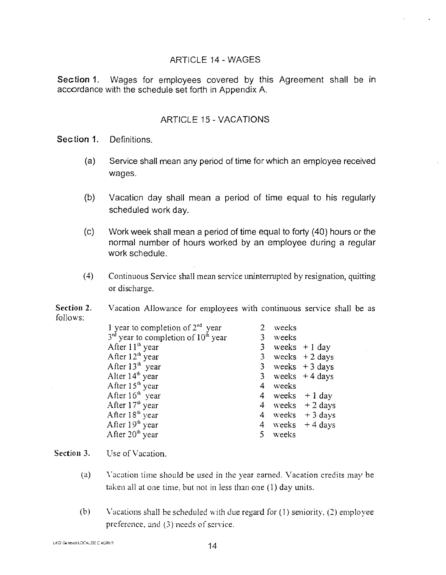#### ARTICLE 14 - WAGES

Section 1. Wages for employees covered by this Agreement shall be in accordance with the schedule set forth in Appendix A.

#### ARTICLE I5 - VACATIONS

Section 1. Definitions.

- $(a)$ Service shall mean any period of time for which an employee received wages.
- $(b)$ Vacation day shall mean a period of time equal to his regularly scheduled work day.
- $(c)$ Work week shall mean a period of time equal to forty (40) hours or the normal number of hours worked by an employee during a regular work schedule.
- $(4)$ Continuous Service shall mean service uninterrupted by resignation, quitting or discharge.

**Section 2.**  follows: Vacation Allowance for employees with continuous service shall be as

| 1 year to completion of $2nd$ year      | 2              | weeks   |                   |
|-----------------------------------------|----------------|---------|-------------------|
| $3rd$ year to completion of $10th$ year |                | 3 weeks |                   |
| After $11^{th}$ year                    |                |         | 3 weeks $+1$ day  |
| After $12^{th}$ year                    | 3 <sup>7</sup> |         | weeks $+2$ days   |
| After $13th$ year                       |                |         | 3 weeks $+3$ days |
| Alter $14th$ year                       | 3 <sup>7</sup> |         | weeks $+4$ days   |
| After 15 <sup>th</sup> year             | $\overline{4}$ | weeks   |                   |
| After $16th$ year                       |                |         | 4 weeks $+1$ day  |
| After 17 <sup>th</sup> year             |                |         | 4 weeks $+2$ days |
| After $18th$ year                       |                |         | 4 weeks $+3$ days |
| After 19 <sup>th</sup> year             |                |         | 4 weeks $+4$ days |
| After 20 <sup>th</sup> year             | 5.             | weeks   |                   |

#### Section 3. Use of Vacation.

- $(a)$ Vacation time should be used in the year earned. Vacation credits may be taken all at one time. but not in less than one (I) day units.
- $(b)$ Vacations shall be scheduled with due regard for  $(1)$  seniority,  $(2)$  employee preference, and  $(3)$  needs of service.

UKG/Gentseo/LOCAL200 C AGRMT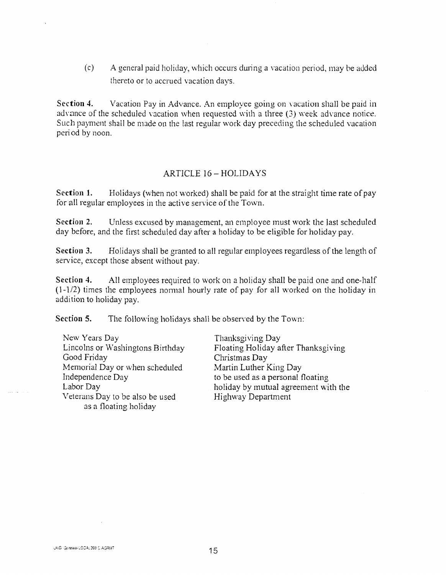$\delta$  A general paid holiday, which occurs during a vacation period, may be added thereto or to accrued vacation days.

**Section 4.** Vacation Pay in Advance. An employee going on vacation shall be paid in advance of the scheduled vacation when requested with a three (3) week advance notice. Such payment shall be made on the last regular work day preceding the scheduled vacation period by noon.

#### ARTICLE 16 - HOLIDAYS

Section 1. Holidays (when not worked) shall be paid for at the straight time rate of pay for all regular employees in the active service of the Town.

**Section 2.** Unless excused by management, an employee must work the last scheduled day before, and the first scheduled day after a holiday to be eligible for holiday pay.

**Section** *3.* Holidays shall be granted to all regular employees regardless of the length of service, except those absent without pay.

**Section 4.** All employees required to work on a holiday shall be paid one and one-half  $(1-1/2)$  times the employees normal hourly rate of pay for all worked on the holiday in addition to holiday pay.

**Section 5.** The following holidays shall be observed by the Town:

New Years Day<br>
Lincolns or Washingtons Birthday Floating Holiday and Thanksgiving Day Memorial Day or when scheduled Martin Luther King Day<br>Independence Day to be used as a personal f Independence Day to be used as a personal floating<br>
Labor Day to be used as a personal floating<br>
holiday by mutual agreement wi Veterans Day to be also be used Highway Department **3s** a floating holiday

Lincolns or Washingtons Birthday Floating Holiday after Thanksgiving<br>Good Friday Christmas Day Christmas Day holiday by mutual agreement with the

UKG: Geineseo/LOCAL200 C.AGRMT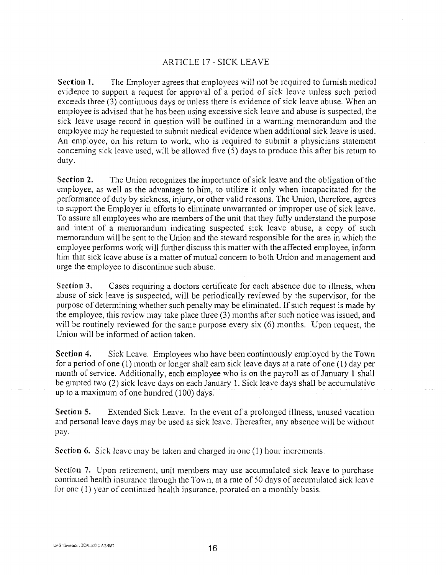#### ARTICLE 17 - SICK LEAVE

Section 1. The Employer agrees that employees will not be required to furnish medical evidence to support a request for approval of a period of sick leave unless such period exceeds three (3) continuous days or unless there is evidence of sick leave abuse. When an employee is advised that he has been using excessive sick leave and abuse is suspected, the sick leave usage record in question will be outlined in a warning memorandum and the employee may be requested to submit medical evidence when additional sick leave is used. An employee, on his return to work, who is required to submit a physicians statement concerning sick leave used, will be allowed five (5) days to produce this after his return to duty.

Section **2.** The Union recognizes the importance of sick leave and the obligation of the employee, as well as the advantage to him, to utilize it only when incapacitated for the performance of duty by sickness, injury, or other valid reasons. The Union, therefore, agrees to support the Employer in efforts to eliminate unwarranted or improper use of sick leave. To assure all employees who are members of the unit that they fully understand the purpose and intent of a memorandum indicating suspected sick leave abuse, a copy of such ine incortentum will be sent to the Union and the steward responsible for the area in which the employee performs work will further discuss this matter with the affected employee, inform him that sick leave abuse is a matter of mutual concern to both Union and management and urge the employee to discontinue such abuse.

Section **3.** Cases requiring a doctors certificate for each absence due to illness, when abuse of sick leave is suspected, will be periodically reviewed by tlie supervisor, for the purpose of determining whether such penalty may be eliminated. If such request is made by the employee, this review may take place three  $(3)$  months after such notice was issued, and will be routinely reviewed for the same purpose every six  $(6)$  months. Upon request, the Union will be informed of action taken.

Section 4. Sick Leave. Employees who have been continuously employed by the Town for a period of one  $(1)$  month or longer shall earn sick leave days at a rate of one  $(1)$  day per month of service. Additionally, each employee who is on the payroll as of January 1 shall be granted two (2) sick leave days on each January 1. Sick leave days shall be accumulative up to a maximum of one hundred (100) days.

Section 5. Extended Sick Leave. In the event of a prolonged illness, unused vacation and personal leave days may be used as sick leave. Thereafter, any absence will be without pay.

Section 6. Sick leave may be taken and charged in one (1) hour increments.

Section 7. Upon retirement, unit members may use accumulated sick leave to purchase continued health insurance through the Town, at a rate of 50 days of accumulated sick leave. for one  $(1)$  year of continued health insurance, prorated on a monthly basis.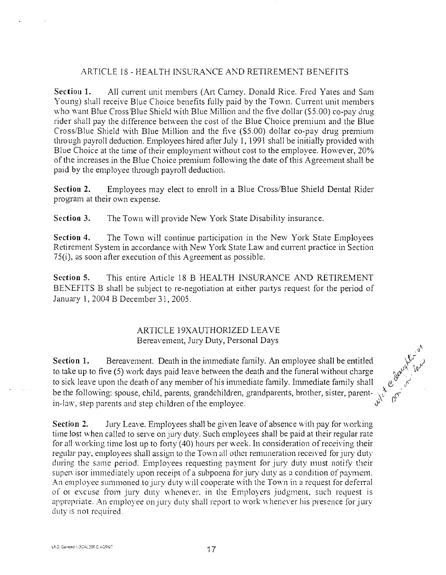#### ARTICLE 18 - HEALTH INSURANCE AND RETIREMENT BENEFITS

Section 1. All current unit members (Art Carney, Donald Rice. Fred Yates and Sam Young) shall receive Blue Choice benefits fully paid by the Town. Current unit members who want Blue Cross/Blue Shield with Blue Million and the five dollar (\$5.00) co-pay drug rider shall pay the difference between the cost of the Blue Choice premium and the Blue Cross/Blue Shield with Blue Million and the five (\$5.00) dollar co-pay drug premium through payroll deduction. Employees hired after July 1, 1991 shall be initially provided with Blue Choice at the time of their employment without cost to the employee. However, 20% of the increases in the Blue Choice premium following the date of this Agreement shall be paid by the employee through payroll deduction.

**Section 2.** Employees may elect to enroll in a Blue Cross/Blue Shield Dental Rider prograin at their own expense.

Section 3. The Town will provide New York State Disability insurance.

Section 4. The Town will continue participation in the New York State Employees Retirement System in accordance with New York State Law and current practice in Section  $75(i)$ , as soon after execution of this Agreement as possible.

Section 5. This entire Article 18 B HEALTH INSURANCE AhD RETIREMENT BENEFITS B shall be subject to re-negotiation at either paitys request for the period of January 1, 2004 B December 31, 2005.

#### ARTICLE 19XAUTHORIZED LEAVE Bereavement, Jury Duty, Personal Days

Section 1. Bereavement. Death in the immediate family. An employee shall be entitled to take up to five  $(5)$  work days paid leave between the death and the funeral without charge **SOLUTE 1979 1979 1979** to sick leave upon the death of any member of his immediate family. Immediate family shall be the following: spouse, child, parents, grandchildren, grandparents, brother, sister, parent-  $\frac{1}{N}$ ,  $\frac{1}{N}$ ,  $\frac{1}{N}$ ,  $\frac{1}{N}$ ,  $\frac{1}{N}$ ,  $\frac{1}{N}$ ,  $\frac{1}{N}$ ,  $\frac{1}{N}$ ,  $\frac{1}{N}$ ,  $\frac{1}{N}$ ,  $\frac{1}{N}$ ,  $\frac{1$ 

Section 2. July Leave. Employees shall be given leave of absence with pay for working time lost when called to serve on jury duty. Such employees shall be paid at their regular rate for all working time lost up to forty  $(40)$  hours per week. In consideration of receiving their regular pay, employees shall assign to the Town all other remuneration received for jury duty. during the same period. Employees requesting payment for jury duty must notify their supervisor immediately upon receipt of a subpoena for jury duty as a condition of payment. An employee summoned to jury duty will cooperate with the Town in a request for deferral of or excuse from jury duty whenever, in the Employers judgment, such request is appropriate. An employee on jury duty shall report to work whenever his presence for jury duty is not required.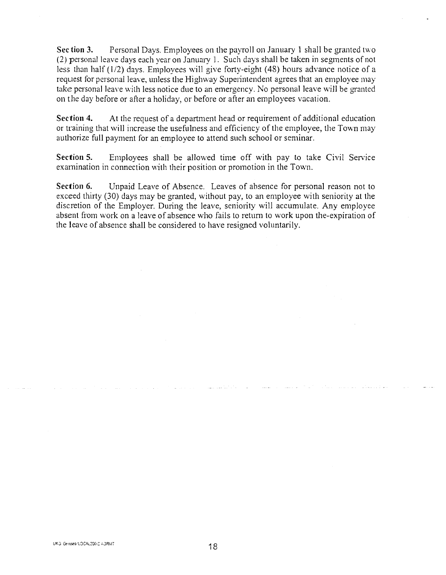**Section 3.** Personal Days. Employees on the payroll on January 1 shall be granted two (2) personal leave days each year on January 1. Such days shall be taken in segments of not less than half  $(1/2)$  days. Employees will give forty-eight (48) hours advance notice of a request for personal leave, unless the Highway Superintendent agrees that an employee may take personal leave with less notice due to an emergency. No personal leave will be granted on the day before or after a holiday, or before or after an employees vacation.

**Section 4.** At the request of a department head or requirement of additional education or training that will increase the usefulness and efficiency of the employee, the Town may authorize full payment for an employee to attend such school or seminar.

**Section 5.** Employees shall be allowed time off with pay to take Civil Service examination in connection with their position or promotion in the Town.

**Sectiou 6.** Unpaid Leave of Absence. Leaves of absence for personal reason not to exceed thirty  $(30)$  days may be granted, without pay, to an employee with seniority at the discretion of the Employer. During the leave, seniority will accumulate. Any employee absent from work on a leave of absence who fails to return to work upon the-expiration of the leave of absence shall be considered to have resigned voluntarily.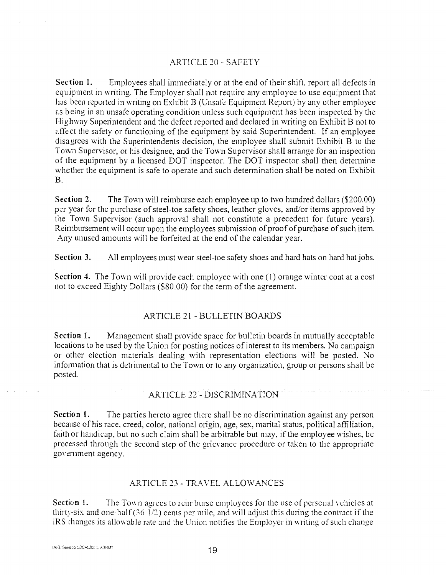#### ,4RTICLE 20 - SAFETY

**Section 1.** Employees shall immediately or at the end of their shift, report all defects in equipment in writing. The Employer shall not require any employee to use equipment that has been reported in writing on Exhibit B (Unsafe Equipment Report) by any other employee as being in an unsafe operating condition unless such equipment has been inspected by the Highway Superintendent and the defect reported and declared in writing on Exhibit B not to affect the safety or functioning of the equipment by said Superintendent. If an employee disagrees with the Superintendents decision, the employee shall submit Exhibit B to the Town Supervisor, or his designee, and the Town Supervisor shall arrange for an inspection of the equipment by a licensed DOT inspector. The DOT inspector shall then determine whether the equipment is safe to operate and such determination shall be noted on Exhibit B.

**Section 2.** The Town will reimburse each employee up to two hundred dollars (\$200.00) per year for the purchase of steel-toe safety shoes, leather gloves, and/or items approved by he Town Supervisor (such approval shall not constitute a precedent for future years). Reimbursement will occur upon the employees submission of proof of purchase of such item. Any unused amounts will be forfeited at the end of the calendar year.

**Section 3.** All employees must wear steel-toe safety shoes and hard hats on hard hat jobs.

**Section 4.** The Town will provide each employee with one (1) orange winter coat at a cost not to exceed Eighty Dollars (\$80.00) for the term of the agreement.

#### ARTICLE 21 - BULLETIN BOARDS

**Section I.** Management shall provide space for bulletin boards in mutually acceptable locations to be used by the Union for posting notices of interest to its members. No campaign or other election materials dealing with representation elections will be posted. No infomlation that is detrimental to the Town or to any organization, group or persons shall be posted.

#### ARTICLE 22 - DISCRIMINATION

**Section 1.** The parties hereto agree there shall be no discrimination against any person because of his race, creed, color, national origin, age, sex, marital status, political affiliation, faith or handicap, but no such claim shall be arbitrable but may, if the employee wishes. be processed through the second step of the grievance procedure or taken to the appropriate government agency.

#### ARTICLE 23 - TRAVEL ALLOWANCES

**Section 1.** The Town agrees to reimburse employees for the use of personal vehicles at thirty-six and one-half (36  $1/2$ ) cents per mile, and will adjust this during the contract if the IRS changes its allowable rate and the Union notifies the Employer in writing of such change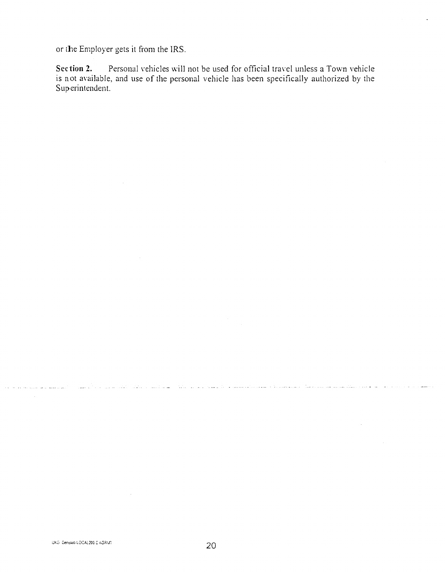or the Employer gets it from the IRS.

**Section 2.** Personal vehicles will not be used for official travel unless a Town vehicle is not available, and use of the personal vehicle has been specifically authorized by the Superintendent.

 $\sim$ 

المتابع فقاعد المتابعة المتكون المستعمر فالمسا

in a series and considering the distribution of the

and the second company of the second second second second second second second second second second second second second second second second second second second second second second second second second second second sec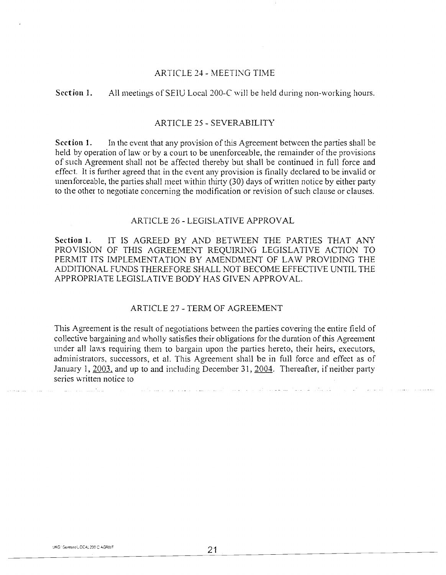#### ARTICLE 24 - MEETING TIME

#### **Section** 1. All meetings of SEIU Local 200-C will be held during non-working hours

#### ARTICLE 25 - SEVERABILITY

**Section 1.** In the event that any provision of this Agreement between the parties shall be held by operation of law or by a court to be unenforceable, the remainder of the provisions of such Agreement shall not be affected thereby but shall be continued in full force and effect. It is further agreed that in the event any provision is finally declared to be invalid or unenforceable, the parties shall meet within thirty (30) days of written notice by either party to the other to negotiate concerning the modification or revision of such clause or clauses.

#### ARTICLE 26 - LEGISLATIVE APPROVAL

**Section** 1. IT IS AGREED BY AXD BETWEEN THE PARTIES THAT ANY PROVISION OF THIS AGREEMENT REQUIRING LEGISLATIVE ACTION TO PERMIT ITS IMPLEMENTATION BY AMENDMENT OF LAW PROVIDING THE ADDITIONAL FUNDS THEREFORE SHALL NOT BECOME EFFECTIVE UNTIL THE APPROPRIATE LEGISLATIVE BODY HAS GIVEN APPROVAL.

#### ARTICLE 27 - TERM OF AGREEMENT

This Agreement is the result of negotiations between the parties covering the entire field of collective bargaining and wholly satisfies their obligations for the duration of this Agreement under all laws requiring them to bargain upon the parties hereto, their heirs, executors, administrators, successors, et al. This Agreement shall be in full force and effect as of January 1, 2003, and up to and including December 31, 2004. Thereafter, if neither party series written nolice to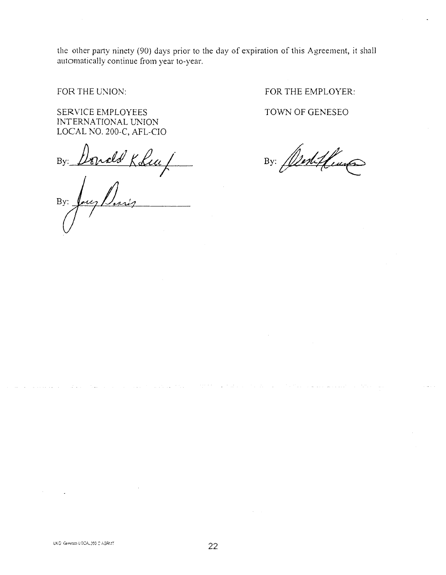the oher party ninety (90) days prior to the day of expiration of this Agreement, it shall automatically continue from year to-year.

SERVICE EMPLOYEES INTERNATIONAL UNION LOCAL NO. 200-C, AFL-CIO

nald Kolia /  $By:$ 

 $Bv:$ 

FOR THE UNION: FOR THE EMPLOYER:

TOWN OF GENESEO

By: Alestifluma

اللباء والأواريب التواري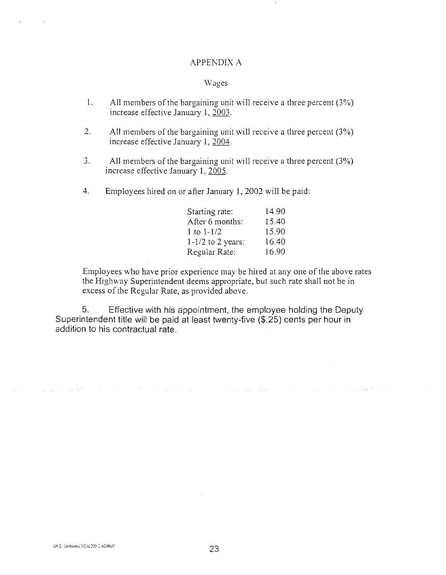#### APPENDIX **A**

#### Wages

- 1. All members of the bargaining unit will receive a three percent  $(3%)$ increase effective January 1,  $2003$ .
- 2. All members of the bargaining unit will receive a three percent  $(3\%)$ increase effective January **1,2004.**
- 3. All members of the bargaining unit will receive a three percent  $(3%)$ increase effective January 1, 2005.
- 4. Employees hired on or after January 1, 2002 will be paid:

| Starting rate:      | 14.90 |
|---------------------|-------|
| After 6 months:     | 15.40 |
| 1 to $1 - 1/2$      | 15.90 |
| $1-1/2$ to 2 years: | 16.40 |
| Regular Rate:       | 16.90 |

Employees who have prior experience may be hired at any one of the above rates the Highway Superintendent deems appropriate, but such rate shall not be in excess of the Regular Rate, as provided above.

**College** 

5. Effective with his appointment, the employee holding the Deputy Superintendent title will be paid at least twenty-five (\$.25) cents per hour in addition to his contractual rate.

 $\mathcal{L}(\mathbf{x})$  and  $\mathcal{L}(\mathbf{x})$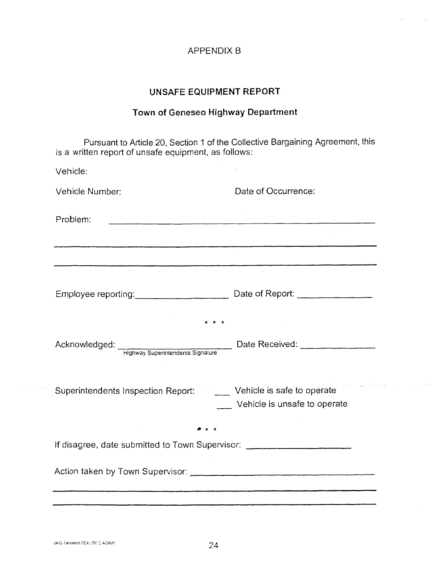#### APPENDIX B

#### **UNSAFE EQUIPMENT REPORT**

# **Town of Geneseo Highway Department**

Pursuant to Article 20, Section 1 of the Collective Bargaining Agreement, this s a written report of unsafe equipment, as follows:

| Vehicle:                                                                                                                                    |                                                                                                                    |
|---------------------------------------------------------------------------------------------------------------------------------------------|--------------------------------------------------------------------------------------------------------------------|
| Vehicle Number:                                                                                                                             | Date of Occurrence:                                                                                                |
| Problem:                                                                                                                                    |                                                                                                                    |
| .<br>In the Concert selection of the Home of the Concert of the Concert Concert of the Concert of the Concert of the Concert of the Concert | .<br>1980 - Marie Leonard Hammer, mengana dan bertama dalam bertama di termasukan semanja dan bertama dalam kemasa |
|                                                                                                                                             |                                                                                                                    |
| Acknowledged: Highway Superintendents Signature Date Received: _________________                                                            |                                                                                                                    |
| Superintendents Inspection Report:<br><u> Letticle</u> is safe to operate                                                                   |                                                                                                                    |
|                                                                                                                                             | Vehicle is unsafe to operate                                                                                       |
| If disagree, date submitted to Town Supervisor: ________________________________                                                            |                                                                                                                    |
|                                                                                                                                             |                                                                                                                    |

 $\mathbb{Z}^2$  .  $\mathbb{Z}^2$ 

 $\sim$   $\sim$   $\sim$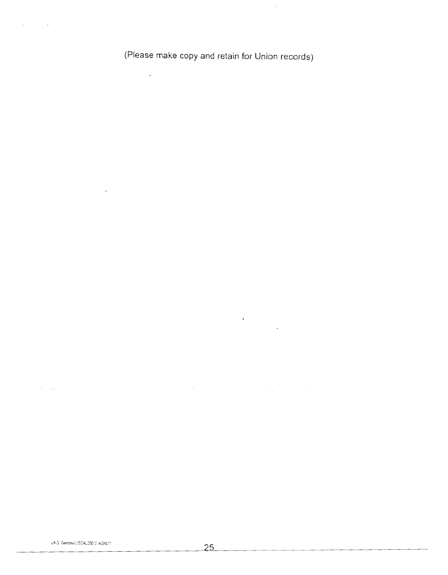(Please make copy and retain for Union records)

 $\bar{\mathcal{A}}$ 

J.

 $\sim$   $\sim$  $\sim$ 

 $\frac{1}{2} \left( \frac{1}{2} \right)^2$ 

 $\mathcal{L}^{\mathcal{L}}$ 

 $\label{eq:3.1} \Psi_{\rm{eff}} = \frac{1}{2} \left( \frac{1}{2} \frac{1}{\sqrt{2}} \right) \left( \frac{1}{2} \frac{1}{\sqrt{2}} \right)$ 

 $\label{eq:2.1} \mathcal{L}_{\mathcal{A}}(\mathcal{A}) = \mathcal{L}_{\mathcal{A}}(\mathcal{A}) = \mathcal{L}_{\mathcal{A}}(\mathcal{A}) = \mathcal{L}_{\mathcal{A}}(\mathcal{A}) = \mathcal{L}_{\mathcal{A}}(\mathcal{A}) = \mathcal{L}_{\mathcal{A}}(\mathcal{A}) = \mathcal{L}_{\mathcal{A}}(\mathcal{A})$ 

 $\sim$